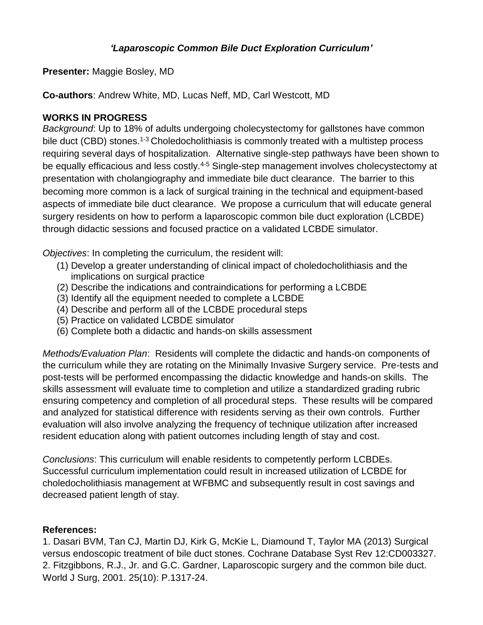## *'Laparoscopic Common Bile Duct Exploration Curriculum'*

**Presenter:** Maggie Bosley, MD

**Co-authors**: Andrew White, MD, Lucas Neff, MD, Carl Westcott, MD

## **WORKS IN PROGRESS**

*Background*: Up to 18% of adults undergoing cholecystectomy for gallstones have common bile duct (CBD) stones.<sup>1-3</sup> Choledocholithiasis is commonly treated with a multistep process requiring several days of hospitalization. Alternative single-step pathways have been shown to be equally efficacious and less costly.<sup>4-5</sup> Single-step management involves cholecystectomy at presentation with cholangiography and immediate bile duct clearance. The barrier to this becoming more common is a lack of surgical training in the technical and equipment-based aspects of immediate bile duct clearance. We propose a curriculum that will educate general surgery residents on how to perform a laparoscopic common bile duct exploration (LCBDE) through didactic sessions and focused practice on a validated LCBDE simulator.

*Objectives*: In completing the curriculum, the resident will:

- (1) Develop a greater understanding of clinical impact of choledocholithiasis and the implications on surgical practice
- (2) Describe the indications and contraindications for performing a LCBDE
- (3) Identify all the equipment needed to complete a LCBDE
- (4) Describe and perform all of the LCBDE procedural steps
- (5) Practice on validated LCBDE simulator
- (6) Complete both a didactic and hands-on skills assessment

*Methods/Evaluation Plan*: Residents will complete the didactic and hands-on components of the curriculum while they are rotating on the Minimally Invasive Surgery service. Pre-tests and post-tests will be performed encompassing the didactic knowledge and hands-on skills. The skills assessment will evaluate time to completion and utilize a standardized grading rubric ensuring competency and completion of all procedural steps. These results will be compared and analyzed for statistical difference with residents serving as their own controls. Further evaluation will also involve analyzing the frequency of technique utilization after increased resident education along with patient outcomes including length of stay and cost.

*Conclusions*: This curriculum will enable residents to competently perform LCBDEs. Successful curriculum implementation could result in increased utilization of LCBDE for choledocholithiasis management at WFBMC and subsequently result in cost savings and decreased patient length of stay.

## **References:**

1. Dasari BVM, Tan CJ, Martin DJ, Kirk G, McKie L, Diamound T, Taylor MA (2013) Surgical versus endoscopic treatment of bile duct stones. Cochrane Database Syst Rev 12:CD003327. 2. Fitzgibbons, R.J., Jr. and G.C. Gardner, Laparoscopic surgery and the common bile duct. World J Surg, 2001. 25(10): P.1317-24.